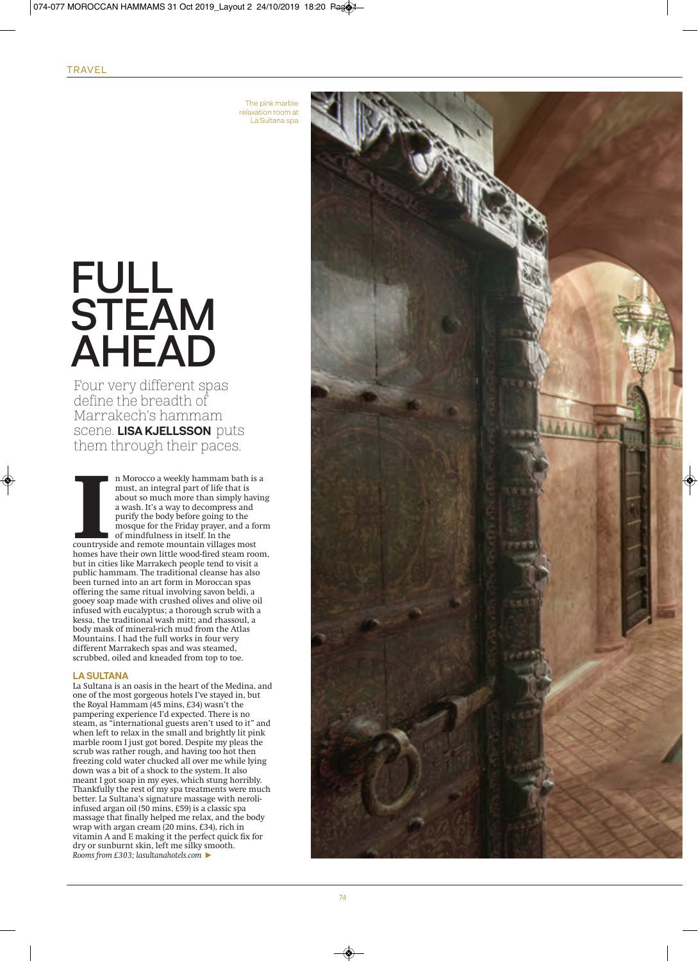The pink marble relaxation room at La Sultana spa

# **FULL STEAM** AHEAD

Four very different spas define the breadth of Marrakech's hammam scene. **LISA KJELLSSON** puts them through their paces.

**I** n Morocco a weekly hammam bath is a must, an integral part of life that is about so much more than simply having a wash. It's a way to decompress and purify the body before going to the mosque for the Friday prayer, and a form of mindfulness in itself. In the countryside and remote mountain villages most homes have their own little wood-fired steam room, but in cities like Marrakech people tend to visit a public hammam. The traditional cleanse has also been turned into an art form in Moroccan spas offering the same ritual involving savon beldi, a gooey soap made with crushed olives and olive oil infused with eucalyptus; a thorough scrub with a kessa, the traditional wash mitt; and rhassoul, a body mask of mineral-rich mud from the Atlas Mountains. I had the full works in four very different Marrakech spas and was steamed, scrubbed, oiled and kneaded from top to toe.

### **LA SULTANA**

La Sultana is an oasis in the heart of the Medina, and one of the most gorgeous hotels I've stayed in, but the Royal Hammam (45 mins, £34) wasn't the pampering experience I'd expected. There is no steam, as "international guests aren't used to it" and when left to relax in the small and brightly lit pink marble room I just got bored. Despite my pleas the scrub was rather rough, and having too hot then freezing cold water chucked all over me while lying down was a bit of a shock to the system. It also meant I got soap in my eyes, which stung horribly. Thankfully the rest of my spa treatments were much better. La Sultana's signature massage with neroliinfused argan oil (50 mins, £59) is a classic spa massage that finally helped me relax, and the body wrap with argan cream (20 mins, £34), rich in vitamin A and E making it the perfect quick fix for dry or sunburnt skin, left me silky smooth. *Rooms from £303; lasultanahotels.com*

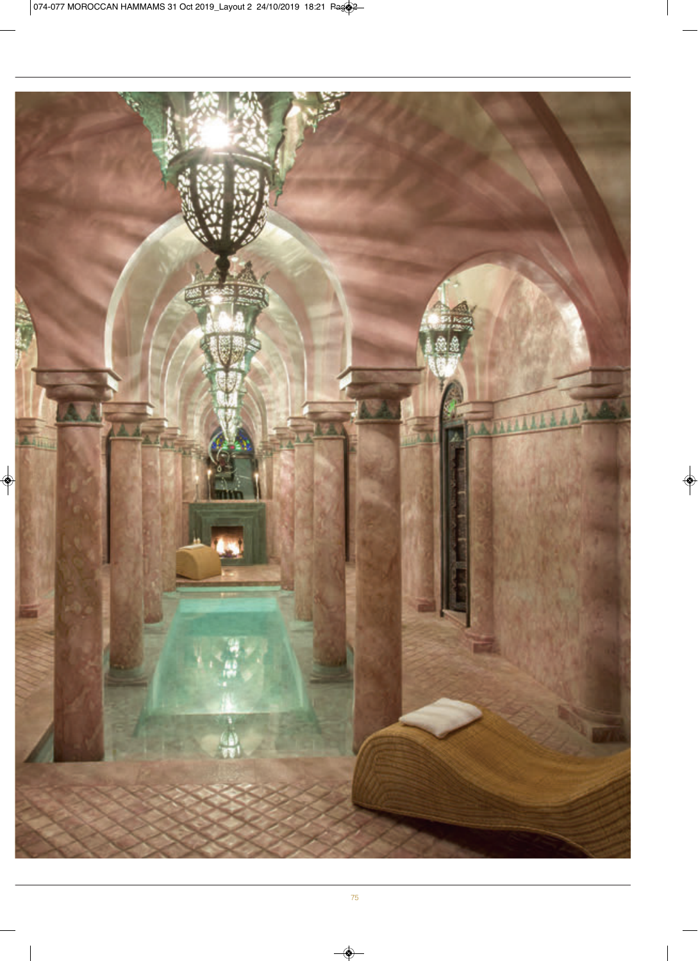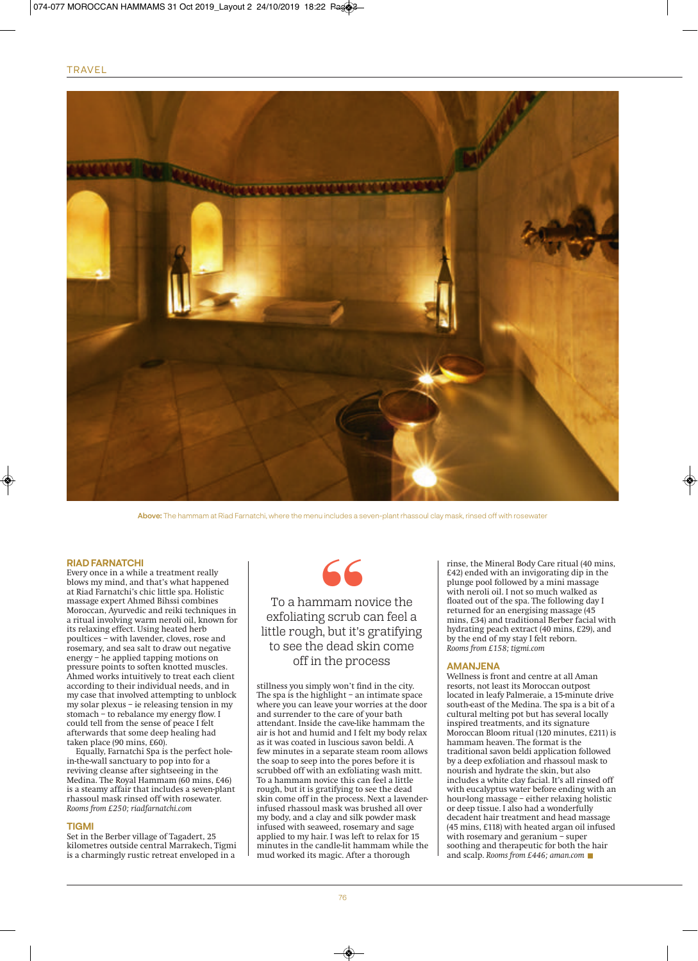

Above: The hammam at Riad Farnatchi, where the menu includes a seven-plant rhassoul clay mask, rinsed off with rosewater

#### **RIAD FARNATCHI**

Every once in a while a treatment really blows my mind, and that's what happened at Riad Farnatchi's chic little spa. Holistic massage expert Ahmed Bihssi combines Moroccan, Ayurvedic and reiki techniques in a ritual involving warm neroli oil, known for its relaxing effect. Using heated herb poultices – with lavender, cloves, rose and rosemary, and sea salt to draw out negative energy – he applied tapping motions on pressure points to soften knotted muscles. Ahmed works intuitively to treat each client according to their individual needs, and in my case that involved attempting to unblock my solar plexus – ie releasing tension in my stomach – to rebalance my energy flow. I could tell from the sense of peace I felt afterwards that some deep healing had taken place (90 mins, £60).

Equally, Farnatchi Spa is the perfect holein-the-wall sanctuary to pop into for a reviving cleanse after sightseeing in the Medina. The Royal Hammam (60 mins, £46) is a steamy affair that includes a seven-plant rhassoul mask rinsed off with rosewater. *Rooms from £250; riadfarnatchi.com*

#### **TIGMI**

Set in the Berber village of Tagadert, 25 kilometres outside central Marrakech, Tigmi is a charmingly rustic retreat enveloped in a



## To a hammam novice the exfoliating scrub can feel a little rough, but it's gratifying to see the dead skin come off in the process

stillness you simply won't find in the city. The spa is the highlight – an intimate space where you can leave your worries at the door and surrender to the care of your bath attendant. Inside the cave-like hammam the air is hot and humid and I felt my body relax as it was coated in luscious savon beldi. A few minutes in a separate steam room allows the soap to seep into the pores before it is scrubbed off with an exfoliating wash mitt. To a hammam novice this can feel a little rough, but it is gratifying to see the dead skin come off in the process. Next a lavenderinfused rhassoul mask was brushed all over my body, and a clay and silk powder mask infused with seaweed, rosemary and sage applied to my hair. I was left to relax for 15 minutes in the candle-lit hammam while the mud worked its magic. After a thorough

rinse, the Mineral Body Care ritual (40 mins, £42) ended with an invigorating dip in the plunge pool followed by a mini massage with neroli oil. I not so much walked as floated out of the spa. The following day I returned for an energising massage (45 mins, £34) and traditional Berber facial with hydrating peach extract (40 mins, £29), and by the end of my stay I felt reborn. *Rooms from £158; tigmi.com*

#### **AMANJENA**

Wellness is front and centre at all Aman resorts, not least its Moroccan outpost located in leafy Palmeraie, a 15-minute drive south-east of the Medina. The spa is a bit of a cultural melting pot but has several locally inspired treatments, and its signature Moroccan Bloom ritual (120 minutes, £211) is hammam heaven. The format is the traditional savon beldi application followed by a deep exfoliation and rhassoul mask to nourish and hydrate the skin, but also includes a white clay facial. It's all rinsed off with eucalyptus water before ending with an hour-long massage – either relaxing holistic or deep tissue. I also had a wonderfully decadent hair treatment and head massage (45 mins, £118) with heated argan oil infused with rosemary and geranium – super soothing and therapeutic for both the hair and scalp. *Rooms from £446; aman.com*